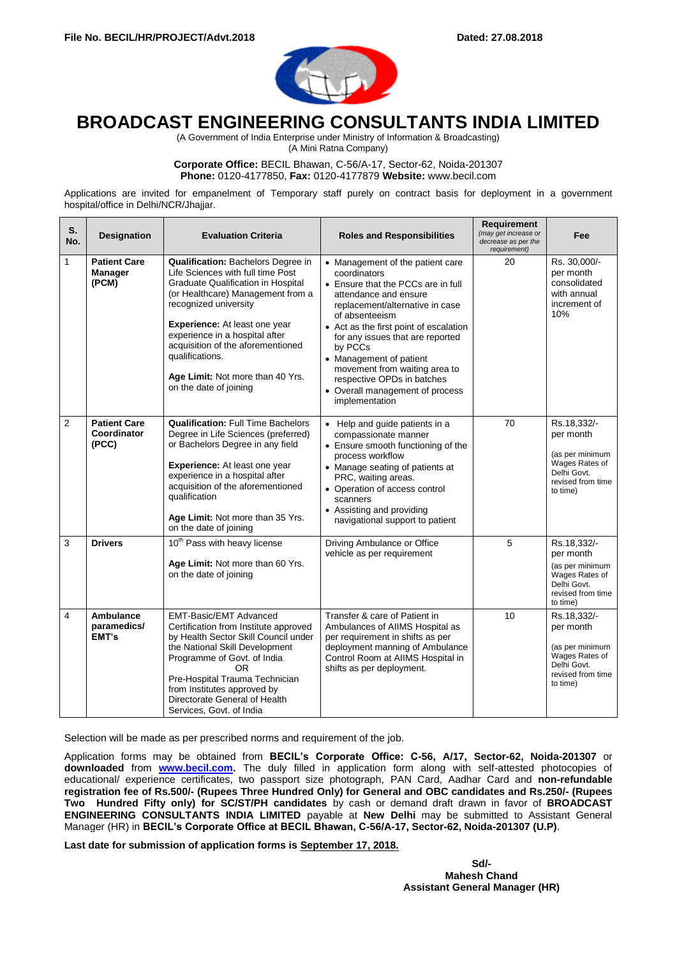

# **BROADCAST ENGINEERING CONSULTANTS INDIA LIMITED**

(A Government of India Enterprise under Ministry of Information & Broadcasting)

(A Mini Ratna Company)

**Corporate Office:** BECIL Bhawan, C-56/A-17, Sector-62, Noida-201307 **Phone:** 0120-4177850, **Fax:** 0120-4177879 **Website:** www.becil.com

Applications are invited for empanelment of Temporary staff purely on contract basis for deployment in a government hospital/office in Delhi/NCR/Jhajjar.

| S.<br>No.      | <b>Designation</b>                             | <b>Evaluation Criteria</b>                                                                                                                                                                                                                                                                                                                                                  | <b>Roles and Responsibilities</b>                                                                                                                                                                                                                                                                                                                                                                            | Requirement<br>(may get increase or<br>decrease as per the<br>requirement) | Fee                                                                                                           |
|----------------|------------------------------------------------|-----------------------------------------------------------------------------------------------------------------------------------------------------------------------------------------------------------------------------------------------------------------------------------------------------------------------------------------------------------------------------|--------------------------------------------------------------------------------------------------------------------------------------------------------------------------------------------------------------------------------------------------------------------------------------------------------------------------------------------------------------------------------------------------------------|----------------------------------------------------------------------------|---------------------------------------------------------------------------------------------------------------|
| 1              | <b>Patient Care</b><br><b>Manager</b><br>(PCM) | Qualification: Bachelors Degree in<br>Life Sciences with full time Post<br><b>Graduate Qualification in Hospital</b><br>(or Healthcare) Management from a<br>recognized university<br>Experience: At least one year<br>experience in a hospital after<br>acquisition of the aforementioned<br>qualifications.<br>Age Limit: Not more than 40 Yrs.<br>on the date of joining | • Management of the patient care<br>coordinators<br>• Ensure that the PCCs are in full<br>attendance and ensure<br>replacement/alternative in case<br>of absenteeism<br>• Act as the first point of escalation<br>for any issues that are reported<br>by PCCs<br>• Management of patient<br>movement from waiting area to<br>respective OPDs in batches<br>• Overall management of process<br>implementation | 20                                                                         | Rs. 30,000/-<br>per month<br>consolidated<br>with annual<br>increment of<br>10%                               |
| $\overline{2}$ | <b>Patient Care</b><br>Coordinator<br>(PCC)    | <b>Qualification: Full Time Bachelors</b><br>Degree in Life Sciences (preferred)<br>or Bachelors Degree in any field<br>Experience: At least one year<br>experience in a hospital after<br>acquisition of the aforementioned<br>qualification<br>Age Limit: Not more than 35 Yrs.<br>on the date of joining                                                                 | • Help and guide patients in a<br>compassionate manner<br>• Ensure smooth functioning of the<br>process workflow<br>• Manage seating of patients at<br>PRC, waiting areas.<br>• Operation of access control<br>scanners<br>• Assisting and providing<br>navigational support to patient                                                                                                                      | 70                                                                         | Rs.18,332/-<br>per month<br>(as per minimum<br>Wages Rates of<br>Delhi Govt.<br>revised from time<br>to time) |
| 3              | <b>Drivers</b>                                 | 10 <sup>th</sup> Pass with heavy license<br>Age Limit: Not more than 60 Yrs.<br>on the date of joining                                                                                                                                                                                                                                                                      | Driving Ambulance or Office<br>vehicle as per requirement                                                                                                                                                                                                                                                                                                                                                    | 5                                                                          | Rs.18,332/-<br>per month<br>(as per minimum<br>Wages Rates of<br>Delhi Govt.<br>revised from time<br>to time) |
| 4              | Ambulance<br>paramedics/<br>EMT's              | <b>EMT-Basic/EMT Advanced</b><br>Certification from Institute approved<br>by Health Sector Skill Council under<br>the National Skill Development<br>Programme of Govt. of India<br>OR<br>Pre-Hospital Trauma Technician<br>from Institutes approved by<br>Directorate General of Health<br>Services, Govt. of India                                                         | Transfer & care of Patient in<br>Ambulances of AIIMS Hospital as<br>per requirement in shifts as per<br>deployment manning of Ambulance<br>Control Room at AIIMS Hospital in<br>shifts as per deployment.                                                                                                                                                                                                    | 10                                                                         | Rs.18,332/-<br>per month<br>(as per minimum<br>Wages Rates of<br>Delhi Govt.<br>revised from time<br>to time) |

Selection will be made as per prescribed norms and requirement of the job.

Application forms may be obtained from **BECIL's Corporate Office: C-56, A/17, Sector-62, Noida-201307** or **downloaded** from **[www.becil.com.](http://www.becil.com/)** The duly filled in application form along with self-attested photocopies of educational/ experience certificates, two passport size photograph, PAN Card, Aadhar Card and **non-refundable registration fee of Rs.500/- (Rupees Three Hundred Only) for General and OBC candidates and Rs.250/- (Rupees Two Hundred Fifty only) for SC/ST/PH candidates** by cash or demand draft drawn in favor of **BROADCAST ENGINEERING CONSULTANTS INDIA LIMITED** payable at **New Delhi** may be submitted to Assistant General Manager (HR) in **BECIL's Corporate Office at BECIL Bhawan, C-56/A-17, Sector-62, Noida-201307 (U.P)**.

**Last date for submission of application forms is September 17, 2018.**

**Sd/- Mahesh Chand Assistant General Manager (HR)**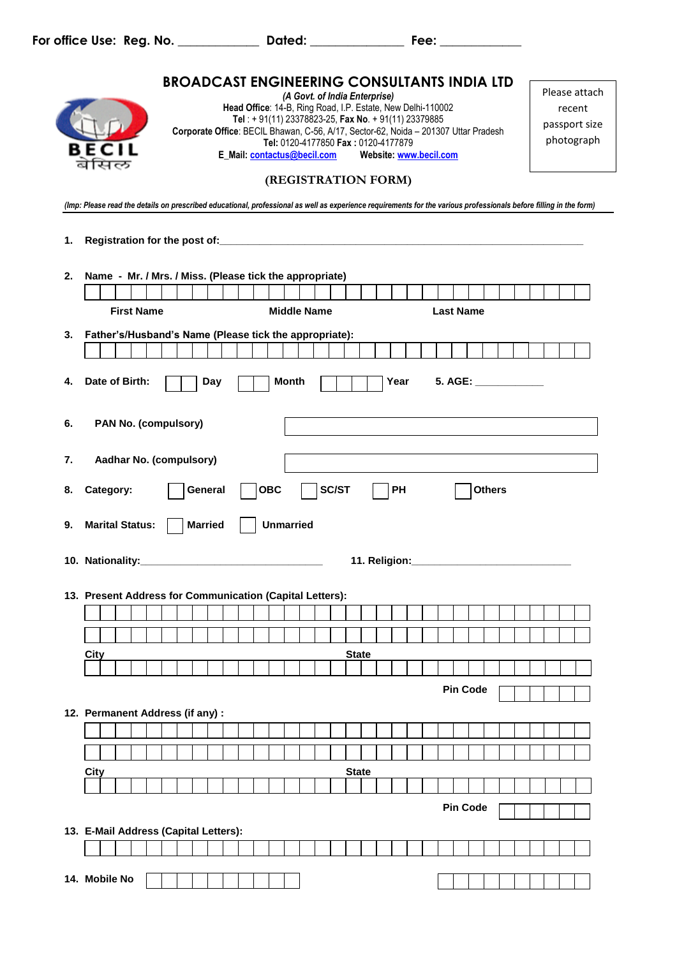**For office Use: Reg. No. \_\_\_\_\_\_\_\_\_\_\_\_\_ Dated: \_\_\_\_\_\_\_\_\_\_\_\_\_\_\_ Fee: \_\_\_\_\_\_\_\_\_\_\_\_\_**

|    | <b>BROADCAST ENGINEERING CONSULTANTS INDIA LTD</b><br>(A Govt. of India Enterprise)<br>Head Office: 14-B, Ring Road, I.P. Estate, New Delhi-110002<br>Tel: +91(11) 23378823-25, Fax No. +91(11) 23379885<br>Corporate Office: BECIL Bhawan, C-56, A/17, Sector-62, Noida - 201307 Uttar Pradesh<br>Tel: 0120-4177850 Fax: 0120-4177879 | Please attach<br>recent<br>passport size<br>photograph |
|----|----------------------------------------------------------------------------------------------------------------------------------------------------------------------------------------------------------------------------------------------------------------------------------------------------------------------------------------|--------------------------------------------------------|
|    | (REGISTRATION FORM)                                                                                                                                                                                                                                                                                                                    |                                                        |
|    | (Imp: Please read the details on prescribed educational, professional as well as experience requirements for the various professionals before filling in the form)                                                                                                                                                                     |                                                        |
| 1. |                                                                                                                                                                                                                                                                                                                                        |                                                        |
|    |                                                                                                                                                                                                                                                                                                                                        |                                                        |
| 2. | Name - Mr. / Mrs. / Miss. (Please tick the appropriate)                                                                                                                                                                                                                                                                                |                                                        |
|    | <b>First Name</b><br><b>Middle Name</b><br><b>Last Name</b>                                                                                                                                                                                                                                                                            |                                                        |
|    |                                                                                                                                                                                                                                                                                                                                        |                                                        |
| 3. | Father's/Husband's Name (Please tick the appropriate):                                                                                                                                                                                                                                                                                 |                                                        |
|    |                                                                                                                                                                                                                                                                                                                                        |                                                        |
| 4. | Date of Birth:<br>Year<br>5. AGE: <b>ACCREEDITION</b><br>Day<br><b>Month</b>                                                                                                                                                                                                                                                           |                                                        |
| 6. | PAN No. (compulsory)                                                                                                                                                                                                                                                                                                                   |                                                        |
|    |                                                                                                                                                                                                                                                                                                                                        |                                                        |
| 7. | Aadhar No. (compulsory)                                                                                                                                                                                                                                                                                                                |                                                        |
| 8. | PH<br><b>OBC</b><br><b>SC/ST</b><br>Category:<br><b>Others</b><br>General                                                                                                                                                                                                                                                              |                                                        |
|    |                                                                                                                                                                                                                                                                                                                                        |                                                        |
| 9. | <b>Unmarried</b><br><b>Marital Status:</b><br><b>Married</b>                                                                                                                                                                                                                                                                           |                                                        |
|    | 10. Nationality:<br>11. Religion:                                                                                                                                                                                                                                                                                                      |                                                        |
|    |                                                                                                                                                                                                                                                                                                                                        |                                                        |
|    | 13. Present Address for Communication (Capital Letters):                                                                                                                                                                                                                                                                               |                                                        |
|    |                                                                                                                                                                                                                                                                                                                                        |                                                        |
|    |                                                                                                                                                                                                                                                                                                                                        |                                                        |
|    | City<br><b>State</b>                                                                                                                                                                                                                                                                                                                   |                                                        |
|    | <b>Pin Code</b>                                                                                                                                                                                                                                                                                                                        |                                                        |
|    | 12. Permanent Address (if any) :                                                                                                                                                                                                                                                                                                       |                                                        |
|    |                                                                                                                                                                                                                                                                                                                                        |                                                        |
|    |                                                                                                                                                                                                                                                                                                                                        |                                                        |
|    | <b>State</b><br>City                                                                                                                                                                                                                                                                                                                   |                                                        |
|    |                                                                                                                                                                                                                                                                                                                                        |                                                        |
|    | <b>Pin Code</b>                                                                                                                                                                                                                                                                                                                        |                                                        |
|    | 13. E-Mail Address (Capital Letters):                                                                                                                                                                                                                                                                                                  |                                                        |
|    |                                                                                                                                                                                                                                                                                                                                        |                                                        |
|    | 14. Mobile No                                                                                                                                                                                                                                                                                                                          |                                                        |